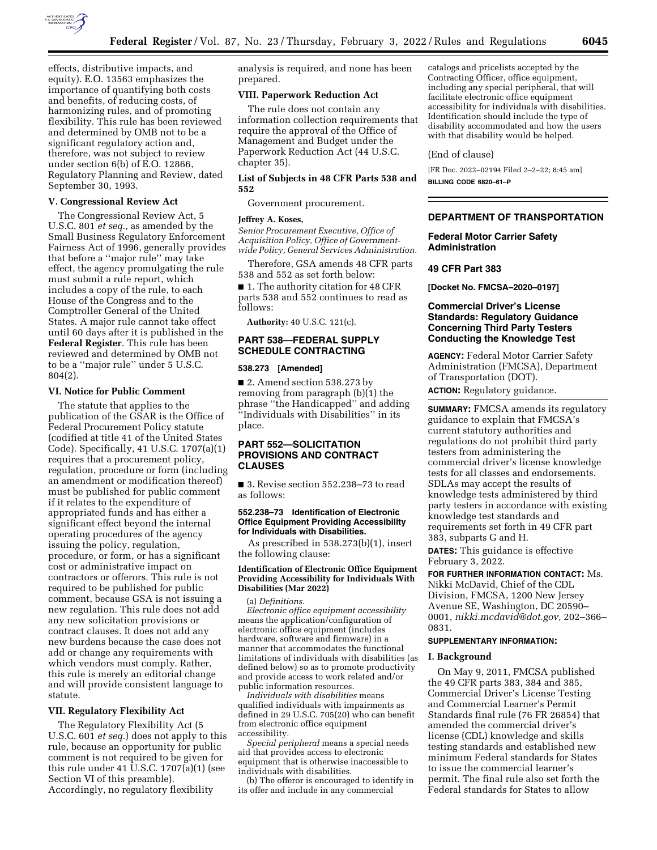

effects, distributive impacts, and equity). E.O. 13563 emphasizes the importance of quantifying both costs and benefits, of reducing costs, of harmonizing rules, and of promoting flexibility. This rule has been reviewed and determined by OMB not to be a significant regulatory action and, therefore, was not subject to review under section 6(b) of E.O. 12866, Regulatory Planning and Review, dated September 30, 1993.

## **V. Congressional Review Act**

The Congressional Review Act, 5 U.S.C. 801 *et seq.,* as amended by the Small Business Regulatory Enforcement Fairness Act of 1996, generally provides that before a ''major rule'' may take effect, the agency promulgating the rule must submit a rule report, which includes a copy of the rule, to each House of the Congress and to the Comptroller General of the United States. A major rule cannot take effect until 60 days after it is published in the **Federal Register**. This rule has been reviewed and determined by OMB not to be a ''major rule'' under 5 U.S.C. 804(2).

### **VI. Notice for Public Comment**

The statute that applies to the publication of the GSAR is the Office of Federal Procurement Policy statute (codified at title 41 of the United States Code). Specifically, 41 U.S.C. 1707(a)(1) requires that a procurement policy, regulation, procedure or form (including an amendment or modification thereof) must be published for public comment if it relates to the expenditure of appropriated funds and has either a significant effect beyond the internal operating procedures of the agency issuing the policy, regulation, procedure, or form, or has a significant cost or administrative impact on contractors or offerors. This rule is not required to be published for public comment, because GSA is not issuing a new regulation. This rule does not add any new solicitation provisions or contract clauses. It does not add any new burdens because the case does not add or change any requirements with which vendors must comply. Rather, this rule is merely an editorial change and will provide consistent language to statute.

### **VII. Regulatory Flexibility Act**

The Regulatory Flexibility Act (5 U.S.C. 601 *et seq.*) does not apply to this rule, because an opportunity for public comment is not required to be given for this rule under 41  $\overline{U}$ .S.C. 1707(a)(1) (see Section VI of this preamble). Accordingly, no regulatory flexibility

analysis is required, and none has been prepared.

### **VIII. Paperwork Reduction Act**

The rule does not contain any information collection requirements that require the approval of the Office of Management and Budget under the Paperwork Reduction Act (44 U.S.C. chapter 35).

**List of Subjects in 48 CFR Parts 538 and 552** 

Government procurement.

### **Jeffrey A. Koses,**

*Senior Procurement Executive, Office of Acquisition Policy, Office of Governmentwide Policy, General Services Administration.* 

Therefore, GSA amends 48 CFR parts 538 and 552 as set forth below:

■ 1. The authority citation for 48 CFR parts 538 and 552 continues to read as follows:

**Authority:** 40 U.S.C. 121(c).

## **PART 538—FEDERAL SUPPLY SCHEDULE CONTRACTING**

#### **538.273 [Amended]**

■ 2. Amend section 538.273 by removing from paragraph (b)(1) the phrase ''the Handicapped'' and adding ''Individuals with Disabilities'' in its place.

## **PART 552—SOLICITATION PROVISIONS AND CONTRACT CLAUSES**

■ 3. Revise section 552.238–73 to read as follows:

### **552.238–73 Identification of Electronic Office Equipment Providing Accessibility for Individuals with Disabilities.**

As prescribed in 538.273(b)(1), insert the following clause:

### **Identification of Electronic Office Equipment Providing Accessibility for Individuals With Disabilities (Mar 2022)**

(a) *Definitions.* 

*Electronic office equipment accessibility*  means the application/configuration of electronic office equipment (includes hardware, software and firmware) in a manner that accommodates the functional limitations of individuals with disabilities (as defined below) so as to promote productivity and provide access to work related and/or public information resources.

*Individuals with disabilities* means qualified individuals with impairments as defined in 29 U.S.C. 705(20) who can benefit from electronic office equipment accessibility.

*Special peripheral* means a special needs aid that provides access to electronic equipment that is otherwise inaccessible to individuals with disabilities.

(b) The offeror is encouraged to identify in its offer and include in any commercial

catalogs and pricelists accepted by the Contracting Officer, office equipment, including any special peripheral, that will facilitate electronic office equipment accessibility for individuals with disabilities. Identification should include the type of disability accommodated and how the users with that disability would be helped.

#### (End of clause)

[FR Doc. 2022–02194 Filed 2–2–22; 8:45 am] **BILLING CODE 6820–61–P** 

## **DEPARTMENT OF TRANSPORTATION**

### **Federal Motor Carrier Safety Administration**

### **49 CFR Part 383**

**[Docket No. FMCSA–2020–0197]** 

## **Commercial Driver's License Standards: Regulatory Guidance Concerning Third Party Testers Conducting the Knowledge Test**

**AGENCY:** Federal Motor Carrier Safety Administration (FMCSA), Department of Transportation (DOT). **ACTION:** Regulatory guidance.

**SUMMARY:** FMCSA amends its regulatory guidance to explain that FMCSA's current statutory authorities and regulations do not prohibit third party testers from administering the commercial driver's license knowledge tests for all classes and endorsements. SDLAs may accept the results of knowledge tests administered by third party testers in accordance with existing knowledge test standards and requirements set forth in 49 CFR part 383, subparts G and H.

**DATES:** This guidance is effective February 3, 2022.

**FOR FURTHER INFORMATION CONTACT:** Ms. Nikki McDavid, Chief of the CDL Division, FMCSA, 1200 New Jersey Avenue SE, Washington, DC 20590– 0001, *[nikki.mcdavid@dot.gov,](mailto:nikki.mcdavid@dot.gov)* 202–366– 0831.

## **SUPPLEMENTARY INFORMATION:**

### **I. Background**

On May 9, 2011, FMCSA published the 49 CFR parts 383, 384 and 385, Commercial Driver's License Testing and Commercial Learner's Permit Standards final rule (76 FR 26854) that amended the commercial driver's license (CDL) knowledge and skills testing standards and established new minimum Federal standards for States to issue the commercial learner's permit. The final rule also set forth the Federal standards for States to allow